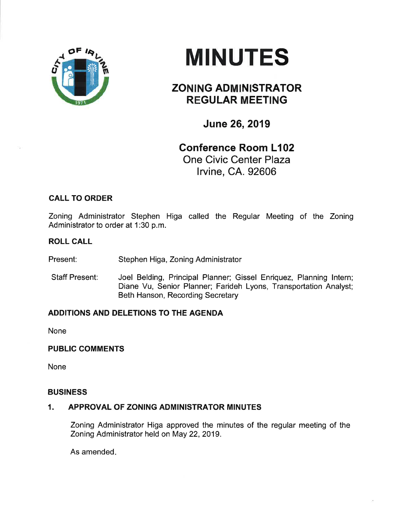

# **MINUTES**

## ZONING ADMINISTRATOR REGULAR MEETING

June 26,2019

## Conference Room L102 One Civic Center Plaza lrvine, CA. 92606

### CALL TO ORDER

Zoning Administrator Stephen Higa called the Regular Meeting of the Zoning Administrator to order at 1:30 p.m.

#### ROLL CALL

Present: Stephen Higa, Zoning Administrator

Staff Present: Joel Belding, Principal Planner; Gissel Enriquez, Planning lntern; Diane Vu, Senior Planner; Farideh Lyons, Transportation Analyst; Beth Hanson, Recording Secretary

#### ADDITIONS AND DELETIONS TO THE AGENDA

None

#### PUBLIC COMMENTS

None

#### **BUSINESS**

#### 1. APPROVAL OF ZONING ADMINISTRATOR MINUTES

Zoning Administrator Higa approved the minutes of the regular meeting of the Zoning Administrator held on May 22,2019.

As amended